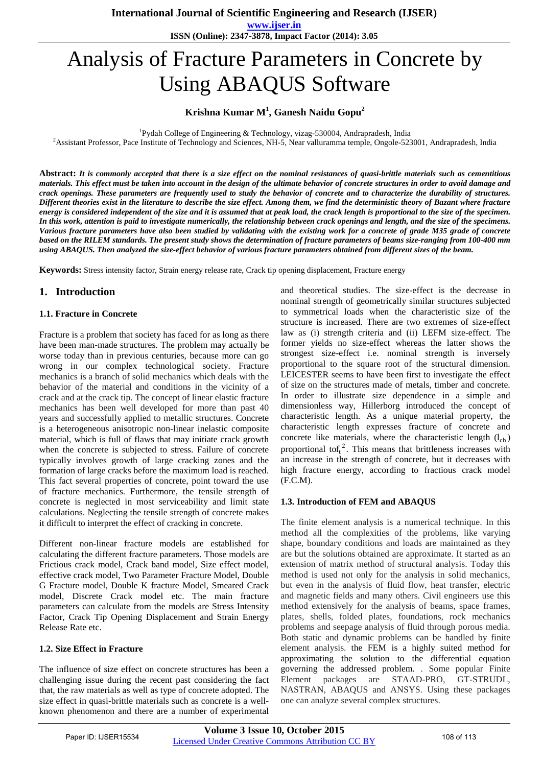**International Journal of Scientific Engineering and Research (IJSER)** 

**www.ijser.in ISSN (Online): 2347-3878, Impact Factor (2014): 3.05**

# Analysis of Fracture Parameters in Concrete by Using ABAQUS Software

# **Krishna Kumar M<sup>1</sup> , Ganesh Naidu Gopu<sup>2</sup>**

<sup>1</sup>Pydah College of Engineering & Technology, vizag-530004, Andrapradesh, India

<sup>2</sup>Assistant Professor, Pace Institute of Technology and Sciences, NH-5, Near valluramma temple, Ongole-523001, Andrapradesh, India

**Abstract:** *It is commonly accepted that there is a size effect on the nominal resistances of quasi-brittle materials such as cementitious materials. This effect must be taken into account in the design of the ultimate behavior of concrete structures in order to avoid damage and crack openings. These parameters are frequently used to study the behavior of concrete and to characterize the durability of structures. Different theories exist in the literature to describe the size effect. Among them, we find the deterministic theory of Bazant where fracture energy is considered independent of the size and it is assumed that at peak load, the crack length is proportional to the size of the specimen. In this work, attention is paid to investigate numerically, the relationship between crack openings and length, and the size of the specimens. Various fracture parameters have also been studied by validating with the existing work for a concrete of grade M35 grade of concrete based on the RILEM standards. The present study shows the determination of fracture parameters of beams size-ranging from 100-400 mm using ABAQUS. Then analyzed the size-effect behavior of various fracture parameters obtained from different sizes of the beam.*

**Keywords:** Stress intensity factor, Strain energy release rate, Crack tip opening displacement, Fracture energy

## **1. Introduction**

#### **1.1. Fracture in Concrete**

Fracture is a problem that society has faced for as long as there have been man-made structures. The problem may actually be worse today than in previous centuries, because more can go wrong in our complex technological society. Fracture mechanics is a branch of solid mechanics which deals with the behavior of the material and conditions in the vicinity of a crack and at the crack tip. The concept of linear elastic fracture mechanics has been well developed for more than past 40 years and successfully applied to metallic structures. Concrete is a heterogeneous anisotropic non-linear inelastic composite material, which is full of flaws that may initiate crack growth when the concrete is subjected to stress. Failure of concrete typically involves growth of large cracking zones and the formation of large cracks before the maximum load is reached. This fact several properties of concrete, point toward the use of fracture mechanics. Furthermore, the tensile strength of concrete is neglected in most serviceability and limit state calculations. Neglecting the tensile strength of concrete makes it difficult to interpret the effect of cracking in concrete.

Different non-linear fracture models are established for calculating the different fracture parameters. Those models are Frictious crack model, Crack band model, Size effect model, effective crack model, Two Parameter Fracture Model, Double G Fracture model, Double K fracture Model, Smeared Crack model, Discrete Crack model etc. The main fracture parameters can calculate from the models are Stress Intensity Factor, Crack Tip Opening Displacement and Strain Energy Release Rate etc.

#### **1.2. Size Effect in Fracture**

The influence of size effect on concrete structures has been a challenging issue during the recent past considering the fact that, the raw materials as well as type of concrete adopted. The size effect in quasi-brittle materials such as concrete is a wellknown phenomenon and there are a number of experimental

and theoretical studies. The size-effect is the decrease in nominal strength of geometrically similar structures subjected to symmetrical loads when the characteristic size of the structure is increased. There are two extremes of size-effect law as (i) strength criteria and (ii) LEFM size-effect. The former yields no size-effect whereas the latter shows the strongest size-effect i.e. nominal strength is inversely proportional to the square root of the structural dimension. LEICESTER seems to have been first to investigate the effect of size on the structures made of metals, timber and concrete. In order to illustrate size dependence in a simple and dimensionless way, Hillerborg introduced the concept of characteristic length. As a unique material property, the characteristic length expresses fracture of concrete and concrete like materials, where the characteristic length  $(l_{ch})$ proportional tof<sub>t</sub><sup>2</sup>. This means that brittleness increases with an increase in the strength of concrete, but it decreases with high fracture energy, according to fractious crack model (F.C.M).

#### **1.3. Introduction of FEM and ABAQUS**

The finite element analysis is a numerical technique. In this method all the complexities of the problems, like varying shape, boundary conditions and loads are maintained as they are but the solutions obtained are approximate. It started as an extension of matrix method of structural analysis. Today this method is used not only for the analysis in solid mechanics, but even in the analysis of fluid flow, heat transfer, electric and magnetic fields and many others. Civil engineers use this method extensively for the analysis of beams, space frames, plates, shells, folded plates, foundations, rock mechanics problems and seepage analysis of fluid through porous media. Both static and dynamic problems can be handled by finite element analysis. the FEM is a highly suited method for approximating the solution to the differential equation governing the addressed problem. . Some popular Finite Element packages are STAAD-PRO, GT-STRUDL, NASTRAN, ABAQUS and ANSYS. Using these packages one can analyze several complex structures.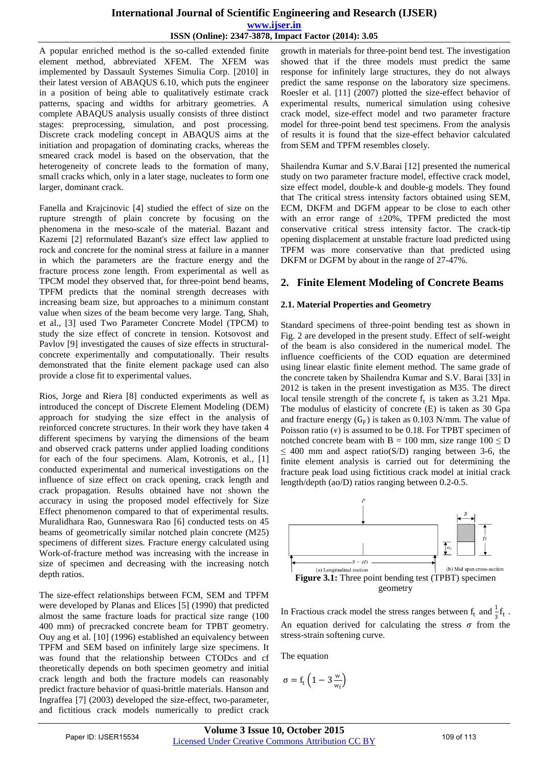# **International Journal of Scientific Engineering and Research (IJSER) www.ijser.in ISSN (Online): 2347-3878, Impact Factor (2014): 3.05**

A popular enriched method is the so-called extended finite element method, abbreviated XFEM. The XFEM was implemented by Dassault Systemes Simulia Corp. [2010] in their latest version of ABAQUS 6.10, which puts the engineer in a position of being able to qualitatively estimate crack patterns, spacing and widths for arbitrary geometries. A complete ABAQUS analysis usually consists of three distinct stages: preprocessing, simulation, and post processing. Discrete crack modeling concept in ABAQUS aims at the initiation and propagation of dominating cracks, whereas the smeared crack model is based on the observation, that the heterogeneity of concrete leads to the formation of many, small cracks which, only in a later stage, nucleates to form one larger, dominant crack.

Fanella and Krajcinovic [4] studied the effect of size on the rupture strength of plain concrete by focusing on the phenomena in the meso-scale of the material. Bazant and Kazemi [2] reformulated Bazant's size effect law applied to rock and concrete for the nominal stress at failure in a manner in which the parameters are the fracture energy and the fracture process zone length. From experimental as well as TPCM model they observed that, for three-point bend beams, TPFM predicts that the nominal strength decreases with increasing beam size, but approaches to a minimum constant value when sizes of the beam become very large. Tang, Shah, et al., [3] used Two Parameter Concrete Model (TPCM) to study the size effect of concrete in tension. Kotsovost and Pavlov [9] investigated the causes of size effects in structuralconcrete experimentally and computationally. Their results demonstrated that the finite element package used can also provide a close fit to experimental values.

Rios, Jorge and Riera [8] conducted experiments as well as introduced the concept of Discrete Element Modeling (DEM) approach for studying the size effect in the analysis of reinforced concrete structures. In their work they have taken 4 different specimens by varying the dimensions of the beam and observed crack patterns under applied loading conditions for each of the four specimens. Alam, Kotronis, et al., [1] conducted experimental and numerical investigations on the influence of size effect on crack opening, crack length and crack propagation. Results obtained have not shown the accuracy in using the proposed model effectively for Size Effect phenomenon compared to that of experimental results. Muralidhara Rao, Gunneswara Rao [6] conducted tests on 45 beams of geometrically similar notched plain concrete (M25) specimens of different sizes. Fracture energy calculated using Work-of-fracture method was increasing with the increase in size of specimen and decreasing with the increasing notch depth ratios.

The size-effect relationships between FCM, SEM and TPFM were developed by Planas and Elices [5] (1990) that predicted almost the same fracture loads for practical size range (100 400 mm) of precracked concrete beam for TPBT geometry. Ouy ang et al. [10] (1996) established an equivalency between TPFM and SEM based on infinitely large size specimens. It was found that the relationship between CTODcs and cf theoretically depends on both specimen geometry and initial crack length and both the fracture models can reasonably predict fracture behavior of quasi-brittle materials. Hanson and Ingraffea [7] (2003) developed the size-effect, two-parameter, and fictitious crack models numerically to predict crack

growth in materials for three-point bend test. The investigation showed that if the three models must predict the same response for infinitely large structures, they do not always predict the same response on the laboratory size specimens. Roesler et al. [11] (2007) plotted the size-effect behavior of experimental results, numerical simulation using cohesive crack model, size-effect model and two parameter fracture model for three-point bend test specimens. From the analysis of results it is found that the size-effect behavior calculated from SEM and TPFM resembles closely.

Shailendra Kumar and S.V.Barai [12] presented the numerical study on two parameter fracture model, effective crack model, size effect model, double-k and double-g models. They found that The critical stress intensity factors obtained using SEM, ECM, DKFM and DGFM appear to be close to each other with an error range of  $\pm 20\%$ , TPFM predicted the most conservative critical stress intensity factor. The crack-tip opening displacement at unstable fracture load predicted using TPFM was more conservative than that predicted using DKFM or DGFM by about in the range of 27-47%.

# **2. Finite Element Modeling of Concrete Beams**

## **2.1. Material Properties and Geometry**

Standard specimens of three-point bending test as shown in Fig. 2 are developed in the present study. Effect of self-weight of the beam is also considered in the numerical model. The influence coefficients of the COD equation are determined using linear elastic finite element method. The same grade of the concrete taken by Shailendra Kumar and S.V. Barai [33] in 2012 is taken in the present investigation as M35. The direct local tensile strength of the concrete  $f_t$  is taken as 3.21 Mpa. The modulus of elasticity of concrete (E) is taken as 30 Gpa and fracture energy  $(G_F)$  is taken as 0.103 N/mm. The value of Poisson ratio  $(v)$  is assumed to be 0.18. For TPBT specimen of notched concrete beam with B = 100 mm, size range  $100 \le D$  $\leq$  400 mm and aspect ratio(S/D) ranging between 3-6, the finite element analysis is carried out for determining the fracture peak load using fictitious crack model at initial crack length/depth (ao/D) ratios ranging between 0.2-0.5.



In Fractious crack model the stress ranges between  $f_t$  and  $\frac{1}{3}f_t$ . An equation derived for calculating the stress  $\sigma$  from the stress-strain softening curve.

The equation

$$
\sigma = f_t \left(1 - 3 \frac{w}{w_f}\right)
$$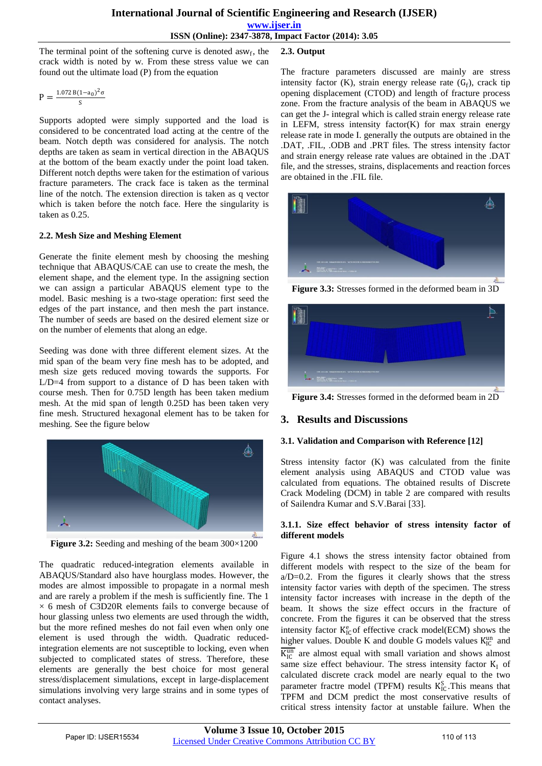**2.3. Output** 

The terminal point of the softening curve is denoted as  $w_f$ , the crack width is noted by w. From these stress value we can found out the ultimate load (P) from the equation

$$
P = \frac{1.072B(1-a_0)^2\sigma}{S}
$$

Supports adopted were simply supported and the load is considered to be concentrated load acting at the centre of the beam. Notch depth was considered for analysis. The notch depths are taken as seam in vertical direction in the ABAQUS at the bottom of the beam exactly under the point load taken. Different notch depths were taken for the estimation of various fracture parameters. The crack face is taken as the terminal line of the notch. The extension direction is taken as q vector which is taken before the notch face. Here the singularity is taken as 0.25.

## **2.2. Mesh Size and Meshing Element**

Generate the finite element mesh by choosing the meshing technique that ABAQUS/CAE can use to create the mesh, the element shape, and the element type. In the assigning section we can assign a particular ABAQUS element type to the model. Basic meshing is a two-stage operation: first seed the edges of the part instance, and then mesh the part instance. The number of seeds are based on the desired element size or on the number of elements that along an edge.

Seeding was done with three different element sizes. At the mid span of the beam very fine mesh has to be adopted, and mesh size gets reduced moving towards the supports. For L/D=4 from support to a distance of D has been taken with course mesh. Then for 0.75D length has been taken medium mesh. At the mid span of length 0.25D has been taken very fine mesh. Structured hexagonal element has to be taken for meshing. See the figure below



**Figure 3.2:** Seeding and meshing of the beam  $300 \times 1200$ 

The quadratic reduced-integration elements available in ABAQUS/Standard also have hourglass modes. However, the modes are almost impossible to propagate in a normal mesh and are rarely a problem if the mesh is sufficiently fine. The 1  $\times$  6 mesh of C3D20R elements fails to converge because of hour glassing unless two elements are used through the width, but the more refined meshes do not fail even when only one element is used through the width. Quadratic reducedintegration elements are not susceptible to locking, even when subjected to complicated states of stress. Therefore, these elements are generally the best choice for most general stress/displacement simulations, except in large-displacement simulations involving very large strains and in some types of contact analyses.

The fracture parameters discussed are mainly are stress intensity factor (K), strain energy release rate  $(G_f)$ , crack tip opening displacement (CTOD) and length of fracture process zone. From the fracture analysis of the beam in ABAQUS we can get the J- integral which is called strain energy release rate in LEFM, stress intensity factor(K) for max strain energy release rate in mode I. generally the outputs are obtained in the .DAT, .FIL, .ODB and .PRT files. The stress intensity factor and strain energy release rate values are obtained in the .DAT file, and the stresses, strains, displacements and reaction forces are obtained in the .FIL file.



**Figure 3.3:** Stresses formed in the deformed beam in 3D



**Figure 3.4:** Stresses formed in the deformed beam in 2D

# **3. Results and Discussions**

## **3.1. Validation and Comparison with Reference [12]**

Stress intensity factor (K) was calculated from the finite element analysis using ABAQUS and CTOD value was calculated from equations. The obtained results of Discrete Crack Modeling (DCM) in table 2 are compared with results of Sailendra Kumar and S.V.Barai [33].

## **3.1.1. Size effect behavior of stress intensity factor of different models**

Figure 4.1 shows the stress intensity factor obtained from different models with respect to the size of the beam for  $a/D=0.2$ . From the figures it clearly shows that the stress intensity factor varies with depth of the specimen. The stress intensity factor increases with increase in the depth of the beam. It shows the size effect occurs in the fracture of concrete. From the figures it can be observed that the stress intensity factor  $K_{IC}^e$  of effective crack model(ECM) shows the higher values. Double K and double G models values  $K_{\text{IC}}^{\text{un}}$  and  $\overline{K_{IC}^{un}}$  are almost equal with small variation and shows almost same size effect behaviour. The stress intensity factor  $K_I$  of calculated discrete crack model are nearly equal to the two parameter fractre model (TPFM) results  $K_{IC}^S$ . This means that TPFM and DCM predict the most conservative results of critical stress intensity factor at unstable failure. When the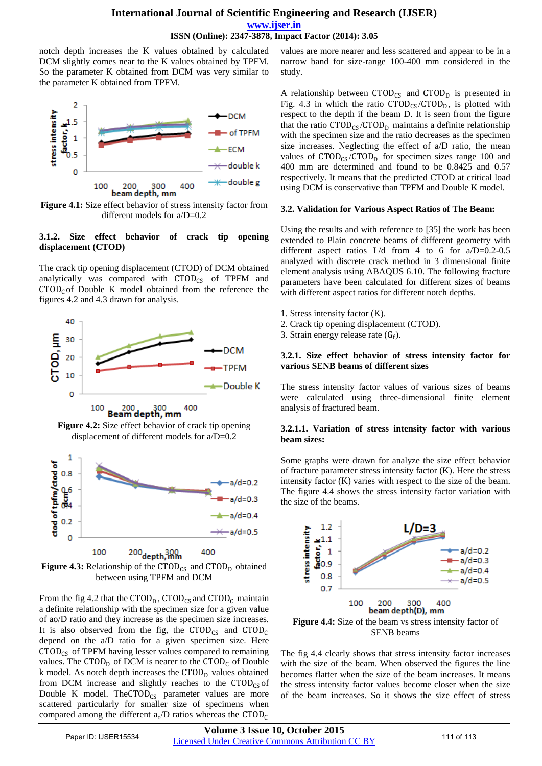## **International Journal of Scientific Engineering and Research (IJSER) www.ijser.in ISSN (Online): 2347-3878, Impact Factor (2014): 3.05**

notch depth increases the K values obtained by calculated DCM slightly comes near to the K values obtained by TPFM. So the parameter K obtained from DCM was very similar to the parameter K obtained from TPFM.



**Figure 4.1:** Size effect behavior of stress intensity factor from different models for a/D=0.2

## **3.1.2. Size effect behavior of crack tip opening displacement (CTOD)**

The crack tip opening displacement (CTOD) of DCM obtained analytically was compared with  $\text{CTOD}_{CS}$  of TPFM and  $CTOD<sub>C</sub>$  of Double K model obtained from the reference the figures 4.2 and 4.3 drawn for analysis.



**Figure 4.2:** Size effect behavior of crack tip opening displacement of different models for a/D=0.2



**Figure 4.3:** Relationship of the  $\text{CTOD}_{CS}$  and  $\text{CTOD}_{D}$  obtained between using TPFM and DCM

From the fig 4.2 that the  $\text{CTOD}_D$ ,  $\text{CTOD}_{CS}$  and  $\text{CTOD}_C$  maintain a definite relationship with the specimen size for a given value of ao/D ratio and they increase as the specimen size increases. It is also observed from the fig, the  $CTOD_{CS}$  and  $CTOD_{C}$ depend on the a/D ratio for a given specimen size. Here  $\text{CTOD}_{\text{CS}}$  of TPFM having lesser values compared to remaining values. The CTOD<sub>D</sub> of DCM is nearer to the CTOD<sub>C</sub> of Double k model. As notch depth increases the CTOD<sub>D</sub> values obtained from DCM increase and slightly reaches to the  $\text{CTOD}_{\text{CS}}$  of Double K model. The CTOD<sub>CS</sub> parameter values are more scattered particularly for smaller size of specimens when compared among the different  $a_0/D$  ratios whereas the CTOD<sub>C</sub>

values are more nearer and less scattered and appear to be in a narrow band for size-range 100-400 mm considered in the study.

A relationship between  $CTOD_{CS}$  and  $CTOD_D$  is presented in Fig. 4.3 in which the ratio  $\text{CTOD}_{CS}/\text{CTOD}_{D}$ , is plotted with respect to the depth if the beam D. It is seen from the figure that the ratio  $\text{CTOD}_{\text{CS}}/\text{CTOD}_{\text{D}}$  maintains a definite relationship with the specimen size and the ratio decreases as the specimen size increases. Neglecting the effect of a/D ratio, the mean values of  $\text{CTOD}_{\text{CS}}/\text{CTOD}_{\text{D}}$  for specimen sizes range 100 and 400 mm are determined and found to be 0.8425 and 0.57 respectively. It means that the predicted CTOD at critical load using DCM is conservative than TPFM and Double K model.

## **3.2. Validation for Various Aspect Ratios of The Beam:**

Using the results and with reference to [35] the work has been extended to Plain concrete beams of different geometry with different aspect ratios L/d from 4 to 6 for a/D=0.2-0.5 analyzed with discrete crack method in 3 dimensional finite element analysis using ABAQUS 6.10. The following fracture parameters have been calculated for different sizes of beams with different aspect ratios for different notch depths.

- 1. Stress intensity factor (K).
- 2. Crack tip opening displacement (CTOD).
- 3. Strain energy release rate  $(G_f)$ .

#### **3.2.1. Size effect behavior of stress intensity factor for various SENB beams of different sizes**

The stress intensity factor values of various sizes of beams were calculated using three-dimensional finite element analysis of fractured beam.

## **3.2.1.1. Variation of stress intensity factor with various beam sizes:**

Some graphs were drawn for analyze the size effect behavior of fracture parameter stress intensity factor (K). Here the stress intensity factor (K) varies with respect to the size of the beam. The figure 4.4 shows the stress intensity factor variation with the size of the beams.



SENB beams

The fig 4.4 clearly shows that stress intensity factor increases with the size of the beam. When observed the figures the line becomes flatter when the size of the beam increases. It means the stress intensity factor values become closer when the size of the beam increases. So it shows the size effect of stress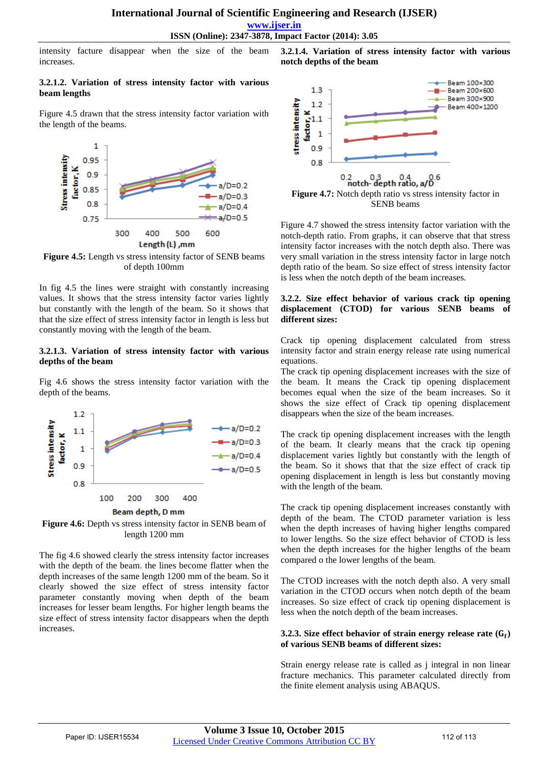**www.ijser.in**

intensity facture disappear when the size of the beam increases.

#### **3.2.1.2. Variation of stress intensity factor with various beam lengths**

Figure 4.5 drawn that the stress intensity factor variation with the length of the beams.



**Figure 4.5:** Length vs stress intensity factor of SENB beams of depth 100mm

In fig 4.5 the lines were straight with constantly increasing values. It shows that the stress intensity factor varies lightly but constantly with the length of the beam. So it shows that that the size effect of stress intensity factor in length is less but constantly moving with the length of the beam.

#### **3.2.1.3. Variation of stress intensity factor with various depths of the beam**

Fig 4.6 shows the stress intensity factor variation with the depth of the beams.



**Figure 4.6:** Depth vs stress intensity factor in SENB beam of length 1200 mm

The fig 4.6 showed clearly the stress intensity factor increases with the depth of the beam. the lines become flatter when the depth increases of the same length 1200 mm of the beam. So it clearly showed the size effect of stress intensity factor parameter constantly moving when depth of the beam increases for lesser beam lengths. For higher length beams the size effect of stress intensity factor disappears when the depth increases.





Figure 4.7 showed the stress intensity factor variation with the notch-depth ratio. From graphs, it can observe that that stress intensity factor increases with the notch depth also. There was very small variation in the stress intensity factor in large notch depth ratio of the beam. So size effect of stress intensity factor is less when the notch depth of the beam increases.

#### **3.2.2. Size effect behavior of various crack tip opening displacement (CTOD) for various SENB beams of different sizes:**

Crack tip opening displacement calculated from stress intensity factor and strain energy release rate using numerical equations.

The crack tip opening displacement increases with the size of the beam. It means the Crack tip opening displacement becomes equal when the size of the beam increases. So it shows the size effect of Crack tip opening displacement disappears when the size of the beam increases.

The crack tip opening displacement increases with the length of the beam. It clearly means that the crack tip opening displacement varies lightly but constantly with the length of the beam. So it shows that that the size effect of crack tip opening displacement in length is less but constantly moving with the length of the beam.

The crack tip opening displacement increases constantly with depth of the beam. The CTOD parameter variation is less when the depth increases of having higher lengths compared to lower lengths. So the size effect behavior of CTOD is less when the depth increases for the higher lengths of the beam compared o the lower lengths of the beam.

The CTOD increases with the notch depth also. A very small variation in the CTOD occurs when notch depth of the beam increases. So size effect of crack tip opening displacement is less when the notch depth of the beam increases.

#### **3.2.3. Size effect behavior of strain energy release rate**  $(G_f)$ **of various SENB beams of different sizes:**

Strain energy release rate is called as j integral in non linear fracture mechanics. This parameter calculated directly from the finite element analysis using ABAQUS.